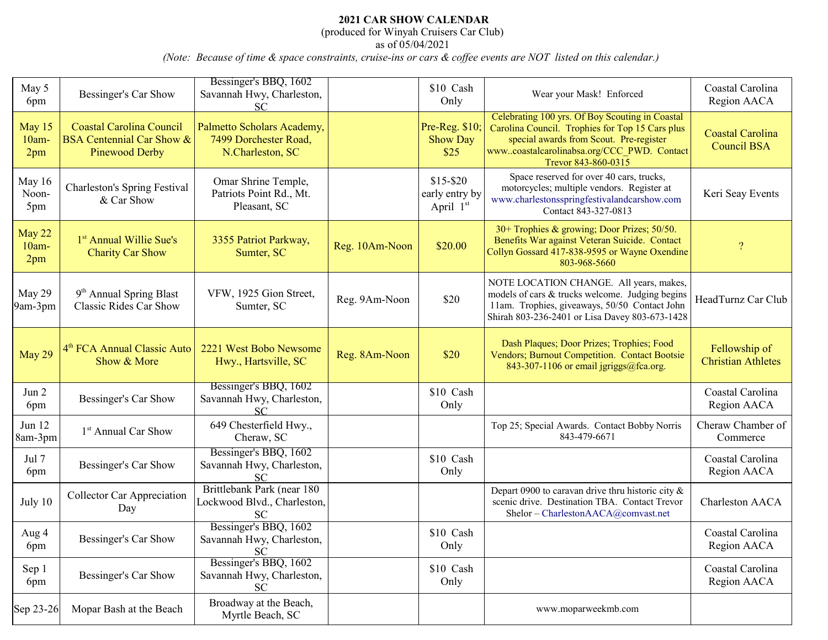## **2021 CAR SHOW CALENDAR**

(produced for Winyah Cruisers Car Club)

as of 05/04/2021

*(Note: Because of time & space constraints, cruise-ins or cars & coffee events are NOT listed on this calendar.)* 

| May 5<br>6pm              | Bessinger's Car Show                                                                      | Bessinger's BBQ, 1602<br>Savannah Hwy, Charleston,<br><b>SC</b>         |                | \$10 Cash<br>Only                          | Wear your Mask! Enforced                                                                                                                                                                                           | Coastal Carolina<br>Region AACA               |
|---------------------------|-------------------------------------------------------------------------------------------|-------------------------------------------------------------------------|----------------|--------------------------------------------|--------------------------------------------------------------------------------------------------------------------------------------------------------------------------------------------------------------------|-----------------------------------------------|
| May 15<br>$10am -$<br>2pm | <b>Coastal Carolina Council</b><br><b>BSA Centennial Car Show &amp;</b><br>Pinewood Derby | Palmetto Scholars Academy,<br>7499 Dorchester Road,<br>N.Charleston, SC |                | Pre-Reg. \$10;<br><b>Show Day</b><br>\$25  | Celebrating 100 yrs. Of Boy Scouting in Coastal<br>Carolina Council. Trophies for Top 15 Cars plus<br>special awards from Scout. Pre-register<br>wwwcoastalcarolinabsa.org/CCC_PWD. Contact<br>Trevor 843-860-0315 | <b>Coastal Carolina</b><br><b>Council BSA</b> |
| May 16<br>Noon-<br>5pm    | <b>Charleston's Spring Festival</b><br>& Car Show                                         | Omar Shrine Temple,<br>Patriots Point Rd., Mt.<br>Pleasant, SC          |                | $$15 - $20$<br>early entry by<br>April 1st | Space reserved for over 40 cars, trucks,<br>motorcycles; multiple vendors. Register at<br>www.charlestonsspringfestivalandcarshow.com<br>Contact 843-327-0813                                                      | Keri Seay Events                              |
| May 22<br>$10am -$<br>2pm | 1 <sup>st</sup> Annual Willie Sue's<br><b>Charity Car Show</b>                            | 3355 Patriot Parkway,<br>Sumter, SC                                     | Reg. 10Am-Noon | \$20.00                                    | 30+ Trophies & growing; Door Prizes; 50/50.<br>Benefits War against Veteran Suicide. Contact<br>Collyn Gossard 417-838-9595 or Wayne Oxendine<br>803-968-5660                                                      | $\boldsymbol{?}$                              |
| May 29<br>9am-3pm         | 9 <sup>th</sup> Annual Spring Blast<br><b>Classic Rides Car Show</b>                      | VFW, 1925 Gion Street,<br>Sumter, SC                                    | Reg. 9Am-Noon  | \$20                                       | NOTE LOCATION CHANGE. All years, makes,<br>models of cars & trucks welcome. Judging begins<br>11am. Trophies, giveaways, 50/50 Contact John<br>Shirah 803-236-2401 or Lisa Davey 803-673-1428                      | HeadTurnz Car Club                            |
| May 29                    | 4 <sup>th</sup> FCA Annual Classic Auto<br>Show & More                                    | 2221 West Bobo Newsome<br>Hwy., Hartsville, SC                          | Reg. 8Am-Noon  | \$20                                       | Dash Plaques; Door Prizes; Trophies; Food<br>Vendors; Burnout Competition. Contact Bootsie<br>843-307-1106 or email jgriggs@fca.org.                                                                               | Fellowship of<br><b>Christian Athletes</b>    |
| Jun 2<br>6pm              | Bessinger's Car Show                                                                      | Bessinger's BBQ, 1602<br>Savannah Hwy, Charleston,<br>SC                |                | \$10 Cash<br>Only                          |                                                                                                                                                                                                                    | Coastal Carolina<br>Region AACA               |
| Jun 12<br>8am-3pm         | 1 <sup>st</sup> Annual Car Show                                                           | 649 Chesterfield Hwy.,<br>Cheraw, SC                                    |                |                                            | Top 25; Special Awards. Contact Bobby Norris<br>843-479-6671                                                                                                                                                       | Cheraw Chamber of<br>Commerce                 |
| Jul 7<br>6pm              | Bessinger's Car Show                                                                      | Bessinger's BBQ, 1602<br>Savannah Hwy, Charleston,<br><b>SC</b>         |                | \$10 Cash<br>Only                          |                                                                                                                                                                                                                    | Coastal Carolina<br>Region AACA               |
| July 10                   | <b>Collector Car Appreciation</b><br>Day                                                  | Brittlebank Park (near 180<br>Lockwood Blvd., Charleston,<br><b>SC</b>  |                |                                            | Depart 0900 to caravan drive thru historic city $\&$<br>scenic drive. Destination TBA. Contact Trevor<br>Shelor - CharlestonAACA@comvast.net                                                                       | Charleston AACA                               |
| Aug 4<br>6pm              | Bessinger's Car Show                                                                      | Bessinger's BBQ, 1602<br>Savannah Hwy, Charleston,<br><b>SC</b>         |                | \$10 Cash<br>Only                          |                                                                                                                                                                                                                    | Coastal Carolina<br>Region AACA               |
| Sep 1<br>6pm              | Bessinger's Car Show                                                                      | Bessinger's BBQ, 1602<br>Savannah Hwy, Charleston,<br><b>SC</b>         |                | \$10 Cash<br>Only                          |                                                                                                                                                                                                                    | Coastal Carolina<br>Region AACA               |
| Sep 23-26                 | Mopar Bash at the Beach                                                                   | Broadway at the Beach,<br>Myrtle Beach, SC                              |                |                                            | www.moparweekmb.com                                                                                                                                                                                                |                                               |